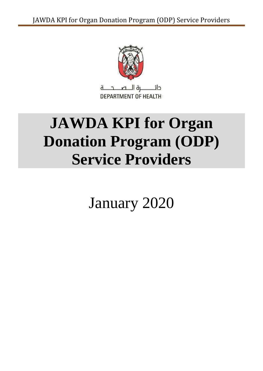

**DEPARTMENT OF HEALTH** 

# **JAWDA KPI for Organ Donation Program (ODP) Service Providers**

January 2020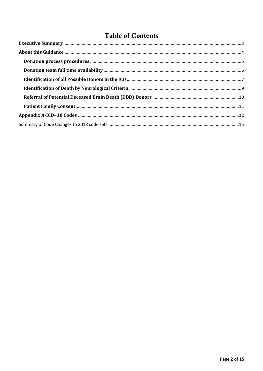# **Table of Contents**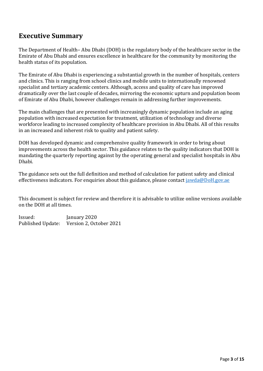# <span id="page-2-0"></span>**Executive Summary**

The Department of Health– Abu Dhabi (DOH) is the regulatory body of the healthcare sector in the Emirate of Abu Dhabi and ensures excellence in healthcare for the community by monitoring the health status of its population.

The Emirate of Abu Dhabi is experiencing a substantial growth in the number of hospitals, centers and clinics. This is ranging from school clinics and mobile units to internationally renowned specialist and tertiary academic centers. Although, access and quality of care has improved dramatically over the last couple of decades, mirroring the economic upturn and population boom of Emirate of Abu Dhabi, however challenges remain in addressing further improvements.

The main challenges that are presented with increasingly dynamic population include an aging population with increased expectation for treatment, utilization of technology and diverse workforce leading to increased complexity of healthcare provision in Abu Dhabi. All of this results in an increased and inherent risk to quality and patient safety.

DOH has developed dynamic and comprehensive quality framework in order to bring about improvements across the health sector. This guidance relates to the quality indicators that DOH is mandating the quarterly reporting against by the operating general and specialist hospitals in Abu Dhabi.

The guidance sets out the full definition and method of calculation for patient safety and clinical effectiveness indicators. For enquiries about this guidance, please contact [jawda@DoH.gov.ae](mailto:jawda@DoH.gov.ae)

This document is subject for review and therefore it is advisable to utilize online versions available on the DOH at all times.

Issued: January 2020 Published Update: Version 2, October 2021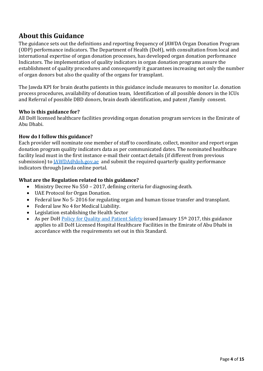# <span id="page-3-0"></span>**About this Guidance**

The guidance sets out the definitions and reporting frequency of JAWDA Organ Donation Program (ODP) performance indicators. The Department of Health (DoH), with consultation from local and international expertise of organ donation processes, has developed organ donation performance Indicators. The implementation of quality indicators in organ donation programs assure the establishment of quality procedures and consequently it guarantees increasing not only the number of organ donors but also the quality of the organs for transplant.

The Jawda KPI for brain deaths patients in this guidance include measures to monitor I.e. donation process procedures, availability of donation team, Identification of all possible donors in the ICUs and Referral of possible DBD donors, brain death identification, and patent /family consent.

#### **Who is this guidance for?**

All DoH licensed healthcare facilities providing organ donation program services in the Emirate of Abu Dhabi.

#### **How do I follow this guidance?**

Each provider will nominate one member of staff to coordinate, collect, monitor and report organ donation program quality indicators data as per communicated dates. The nominated healthcare facility lead must in the first instance e-mail their contact details (if different from previous submission) to [JAWDA@doh.gov.ae](mailto:JAWDA@doh.gov.ae/) and submit the required quarterly quality performance indicators through Jawda online portal.

#### **What are the Regulation related to this guidance?**

- Ministry Decree No 550 2017, defining criteria for diagnosing death.
- UAE Protocol for Organ Donation.
- Federal law No 5- 2016 for regulating organ and human tissue transfer and transplant.
- Federal law No 4 for Medical Liability.
- Legislation establishing the Health Sector
- As per DoH [Policy for Quality and Patient Safety](https://www.haad.ae/HAAD/LinkClick.aspx?fileticket=Jrh93s-AyUA%3d&tabid=1276) issued January 15<sup>th</sup> 2017, this guidance applies to all DoH Licensed Hospital Healthcare Facilities in the Emirate of Abu Dhabi in accordance with the requirements set out in this Standard.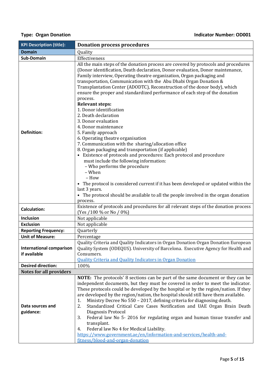<span id="page-4-0"></span>

| <b>KPI Description (title):</b>                 | <b>Donation process procedures</b>                                                                                                                                                                                                                                                                                                                                                                                                                                                                                                                                                                                                                                                                                                                                                                                                                                                                                                                                                                                                                                                                                                                                     |  |  |
|-------------------------------------------------|------------------------------------------------------------------------------------------------------------------------------------------------------------------------------------------------------------------------------------------------------------------------------------------------------------------------------------------------------------------------------------------------------------------------------------------------------------------------------------------------------------------------------------------------------------------------------------------------------------------------------------------------------------------------------------------------------------------------------------------------------------------------------------------------------------------------------------------------------------------------------------------------------------------------------------------------------------------------------------------------------------------------------------------------------------------------------------------------------------------------------------------------------------------------|--|--|
| <b>Domain</b>                                   | Quality                                                                                                                                                                                                                                                                                                                                                                                                                                                                                                                                                                                                                                                                                                                                                                                                                                                                                                                                                                                                                                                                                                                                                                |  |  |
| <b>Sub-Domain</b>                               | Effectiveness                                                                                                                                                                                                                                                                                                                                                                                                                                                                                                                                                                                                                                                                                                                                                                                                                                                                                                                                                                                                                                                                                                                                                          |  |  |
| <b>Definition:</b>                              | All the main steps of the donation process are covered by protocols and procedures<br>(Donor identification, Death declaration, Donor evaluation, Donor maintenance,<br>Family interview, Operating theatre organization, Organ packaging and<br>transportation, Communication with the Abu Dhabi Organ Donation &<br>Transplantation Center (ADODTC), Reconstruction of the donor body), which<br>ensure the proper and standardized performance of each step of the donation<br>process.<br><b>Relevant steps:</b><br>1. Donor identification<br>2. Death declaration<br>3. Donor evaluation<br>4. Donor maintenance<br>5. Family approach<br>6. Operating theatre organisation<br>7. Communication with the sharing/allocation office<br>8. Organ packaging and transportation (if applicable)<br>• Existence of protocols and procedures: Each protocol and procedure<br>must include the following information:<br>- Who performs the procedure<br>- When<br>- How<br>• The protocol is considered current if it has been developed or updated within the<br>last 3 years.<br>• The protocol should be available to all the people involved in the organ donation |  |  |
| <b>Calculation:</b>                             | process.<br>Existence of protocols and procedures for all relevant steps of the donation process<br>(Yes /100 % or No / 0%)                                                                                                                                                                                                                                                                                                                                                                                                                                                                                                                                                                                                                                                                                                                                                                                                                                                                                                                                                                                                                                            |  |  |
| Inclusion                                       | Not applicable                                                                                                                                                                                                                                                                                                                                                                                                                                                                                                                                                                                                                                                                                                                                                                                                                                                                                                                                                                                                                                                                                                                                                         |  |  |
| <b>Exclusion</b>                                | Not applicable                                                                                                                                                                                                                                                                                                                                                                                                                                                                                                                                                                                                                                                                                                                                                                                                                                                                                                                                                                                                                                                                                                                                                         |  |  |
| <b>Reporting Frequency:</b>                     | Quarterly                                                                                                                                                                                                                                                                                                                                                                                                                                                                                                                                                                                                                                                                                                                                                                                                                                                                                                                                                                                                                                                                                                                                                              |  |  |
| <b>Unit of Measure:</b>                         | Percentage                                                                                                                                                                                                                                                                                                                                                                                                                                                                                                                                                                                                                                                                                                                                                                                                                                                                                                                                                                                                                                                                                                                                                             |  |  |
| <b>International comparison</b><br>if available | Quality Criteria and Quality Indicators in Organ Donation Organ Donation European<br>Quality System (ODEQUS). University of Barcelona. Executive Agency for Health and<br>Consumers.<br><b>Quality Criteria and Quality Indicators in Organ Donation</b>                                                                                                                                                                                                                                                                                                                                                                                                                                                                                                                                                                                                                                                                                                                                                                                                                                                                                                               |  |  |
| <b>Desired direction:</b>                       | 100%                                                                                                                                                                                                                                                                                                                                                                                                                                                                                                                                                                                                                                                                                                                                                                                                                                                                                                                                                                                                                                                                                                                                                                   |  |  |
| <b>Notes for all providers</b>                  |                                                                                                                                                                                                                                                                                                                                                                                                                                                                                                                                                                                                                                                                                                                                                                                                                                                                                                                                                                                                                                                                                                                                                                        |  |  |
| Data sources and<br>guidance:                   | NOTE: The protocols' 8 sections can be part of the same document or they can be<br>independent documents, but they must be covered in order to meet the indicator.<br>These protocols could be developed by the hospital or by the region/nation. If they<br>are developed by the region/nation, the hospital should still have them available.<br>Ministry Decree No 550 - 2017, defining criteria for diagnosing death.<br>1.<br>2.<br>Standardized Critical Care Cases Notification and UAE Organ Brain Death<br>Diagnosis Protocol<br>Federal law No 5-2016 for regulating organ and human tissue transfer and<br>3.<br>transplant.<br>Federal law No 4 for Medical Liability.<br>4.<br>https://www.government.ae/en/information-and-services/health-and-<br>fitness/blood-and-organ-donation                                                                                                                                                                                                                                                                                                                                                                      |  |  |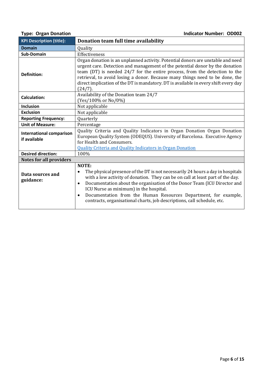### <span id="page-5-0"></span>**Type: Organ Donation**

| <b>Indicator Number: OD002</b> |
|--------------------------------|
|--------------------------------|

| <b>KPI Description (title):</b>                 | Donation team full time availability                                                                                                                                                                                                                                                                                                                                                                                                                                    |  |  |
|-------------------------------------------------|-------------------------------------------------------------------------------------------------------------------------------------------------------------------------------------------------------------------------------------------------------------------------------------------------------------------------------------------------------------------------------------------------------------------------------------------------------------------------|--|--|
| <b>Domain</b>                                   | Quality                                                                                                                                                                                                                                                                                                                                                                                                                                                                 |  |  |
| <b>Sub-Domain</b>                               | Effectiveness                                                                                                                                                                                                                                                                                                                                                                                                                                                           |  |  |
| <b>Definition:</b>                              | Organ donation is an unplanned activity. Potential donors are unstable and need<br>urgent care. Detection and management of the potential donor by the donation<br>team (DT) is needed 24/7 for the entire process, from the detection to the<br>retrieval, to avoid losing a donor. Because many things need to be done, the<br>direct implication of the DT is mandatory. DT is available in every shift every day<br>(24/7)                                          |  |  |
| <b>Calculation:</b>                             | Availability of the Donation team 24/7<br>(Yes/100% or No/0%)                                                                                                                                                                                                                                                                                                                                                                                                           |  |  |
| <b>Inclusion</b>                                | Not applicable                                                                                                                                                                                                                                                                                                                                                                                                                                                          |  |  |
| <b>Exclusion</b>                                | Not applicable                                                                                                                                                                                                                                                                                                                                                                                                                                                          |  |  |
| <b>Reporting Frequency:</b>                     | Quarterly                                                                                                                                                                                                                                                                                                                                                                                                                                                               |  |  |
| <b>Unit of Measure:</b>                         | Percentage                                                                                                                                                                                                                                                                                                                                                                                                                                                              |  |  |
| <b>International comparison</b><br>if available | Quality Criteria and Quality Indicators in Organ Donation Organ Donation<br>European Quality System (ODEQUS). University of Barcelona. Executive Agency<br>for Health and Consumers.<br><b>Quality Criteria and Quality Indicators in Organ Donation</b>                                                                                                                                                                                                                |  |  |
| <b>Desired direction:</b>                       | 100%                                                                                                                                                                                                                                                                                                                                                                                                                                                                    |  |  |
| <b>Notes for all providers</b>                  |                                                                                                                                                                                                                                                                                                                                                                                                                                                                         |  |  |
| Data sources and<br>guidance:                   | NOTE:<br>The physical presence of the DT is not necessarily 24 hours a day in hospitals<br>with a low activity of donation. They can be on call at least part of the day.<br>Documentation about the organisation of the Donor Team (ICU Director and<br>$\bullet$<br>ICU Nurse as minimum) in the hospital.<br>Documentation from the Human Resources Department, for example,<br>$\bullet$<br>contracts, organisational charts, job descriptions, call schedule, etc. |  |  |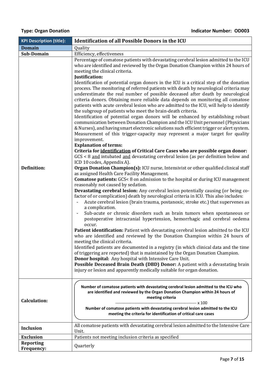<span id="page-6-0"></span>

| <b>KPI Description (title):</b>       | <b>Identification of all Possible Donors in the ICU</b>                                                                                                                                                                                                                                                                                                                                                                                                                                                                                                                                                                                                                                                                                                                                                                                                                                                                                                                                                                                                                                                                                                                                                                                                                                                                                                                                                                                                                                                                                                                                                                                                                                                                                                                                                                                                                                                                                                                                                                                                                                                                                                                                                                                                                                                                                                                                                                                                                                                                                                                                                                                                                                                        |
|---------------------------------------|----------------------------------------------------------------------------------------------------------------------------------------------------------------------------------------------------------------------------------------------------------------------------------------------------------------------------------------------------------------------------------------------------------------------------------------------------------------------------------------------------------------------------------------------------------------------------------------------------------------------------------------------------------------------------------------------------------------------------------------------------------------------------------------------------------------------------------------------------------------------------------------------------------------------------------------------------------------------------------------------------------------------------------------------------------------------------------------------------------------------------------------------------------------------------------------------------------------------------------------------------------------------------------------------------------------------------------------------------------------------------------------------------------------------------------------------------------------------------------------------------------------------------------------------------------------------------------------------------------------------------------------------------------------------------------------------------------------------------------------------------------------------------------------------------------------------------------------------------------------------------------------------------------------------------------------------------------------------------------------------------------------------------------------------------------------------------------------------------------------------------------------------------------------------------------------------------------------------------------------------------------------------------------------------------------------------------------------------------------------------------------------------------------------------------------------------------------------------------------------------------------------------------------------------------------------------------------------------------------------------------------------------------------------------------------------------------------------|
| <b>Domain</b>                         | Quality                                                                                                                                                                                                                                                                                                                                                                                                                                                                                                                                                                                                                                                                                                                                                                                                                                                                                                                                                                                                                                                                                                                                                                                                                                                                                                                                                                                                                                                                                                                                                                                                                                                                                                                                                                                                                                                                                                                                                                                                                                                                                                                                                                                                                                                                                                                                                                                                                                                                                                                                                                                                                                                                                                        |
| Sub-Domain                            | Efficiency, effectiveness                                                                                                                                                                                                                                                                                                                                                                                                                                                                                                                                                                                                                                                                                                                                                                                                                                                                                                                                                                                                                                                                                                                                                                                                                                                                                                                                                                                                                                                                                                                                                                                                                                                                                                                                                                                                                                                                                                                                                                                                                                                                                                                                                                                                                                                                                                                                                                                                                                                                                                                                                                                                                                                                                      |
| <b>Definition:</b>                    | Percentage of comatose patients with devastating cerebral lesion admitted to the ICU<br>who are identified and reviewed by the Organ Donation Champion within 24 hours of<br>meeting the clinical criteria.<br>Justification:<br>Identification of potential organ donors in the ICU is a critical step of the donation<br>process. The monitoring of referred patients with death by neurological criteria may<br>underestimate the real number of possible deceased after death by neurological<br>criteria donors. Obtaining more reliable data depends on monitoring all comatose<br>patients with acute cerebral lesion who are admitted to the ICU, will help to identify<br>the subgroup of patients who meet the brain-death criteria.<br>Identification of potential organ donors will be enhanced by establishing robust<br>communication between Donation Champion and the ICU Unit personnel (Physicians<br>& Nurses), and having smart electronic solutions such efficient trigger or alert system.<br>Measurement of this trigger-capacity may represent a major target for quality<br>improvement.<br><b>Explanation of terms:</b><br>Criteria for identification of Critical Care Cases who are possible organ donor:<br>GCS < 8 and intubated and devastating cerebral lesion (as per definition below and<br>ICD 10 codes, Appendix A).<br>Organ Donation Champion(s): ICU nurse, Intensivist or other qualified clinical staff<br>as assigned Health Care Facility Management.<br><b>Comatose patients:</b> GCS<8 on admission to the hospital or during ICU management<br>reasonably not caused by sedation.<br><b>Devastating cerebral lesion:</b> Any cerebral lesion potentially causing (or being co-<br>factor of or complication) death by neurological criteria in ICU. This also includes:<br>Acute cerebral lesion (brain trauma, postanoxic, stroke etc.) that supervenes as<br>a complication.<br>Sub-acute or chronic disorders such as brain tumors when spontaneous or<br>postoperative intracranial hypertension, hemorrhagic and cerebral oedema<br>occur.<br>Patient identification: Patient with devastating cerebral lesion admitted to the ICU<br>who are identified and reviewed by the Donation Champion within 24 hours of<br>meeting the clinical criteria.<br>Identified patients are documented in a registry (in which clinical data and the time<br>of triggering are reported) that is maintained by the Organ Donation Champion.<br>Donor hospital: Any hospital with Intensive Care Unit.<br><b>Possible Deceased Brain Death (DBD) Donor:</b> A patient with a devastating brain<br>injury or lesion and apparently medically suitable for organ donation. |
| <b>Calculation:</b>                   | Number of comatose patients with devastating cerebral lesion admitted to the ICU who<br>are identified and reviewed by the Organ Donation Champion within 24 hours of<br>meeting criteria<br>Number of comatose patients with devastating cerebral lesion admitted to the ICU<br>meeting the criteria for identification of critical care cases                                                                                                                                                                                                                                                                                                                                                                                                                                                                                                                                                                                                                                                                                                                                                                                                                                                                                                                                                                                                                                                                                                                                                                                                                                                                                                                                                                                                                                                                                                                                                                                                                                                                                                                                                                                                                                                                                                                                                                                                                                                                                                                                                                                                                                                                                                                                                                |
| <b>Inclusion</b>                      | All comatose patients with devastating cerebral lesion admitted to the Intensive Care<br>Unit.                                                                                                                                                                                                                                                                                                                                                                                                                                                                                                                                                                                                                                                                                                                                                                                                                                                                                                                                                                                                                                                                                                                                                                                                                                                                                                                                                                                                                                                                                                                                                                                                                                                                                                                                                                                                                                                                                                                                                                                                                                                                                                                                                                                                                                                                                                                                                                                                                                                                                                                                                                                                                 |
| <b>Exclusion</b>                      | Patients not meeting inclusion criteria as specified                                                                                                                                                                                                                                                                                                                                                                                                                                                                                                                                                                                                                                                                                                                                                                                                                                                                                                                                                                                                                                                                                                                                                                                                                                                                                                                                                                                                                                                                                                                                                                                                                                                                                                                                                                                                                                                                                                                                                                                                                                                                                                                                                                                                                                                                                                                                                                                                                                                                                                                                                                                                                                                           |
| <b>Reporting</b><br><b>Frequency:</b> | Quarterly                                                                                                                                                                                                                                                                                                                                                                                                                                                                                                                                                                                                                                                                                                                                                                                                                                                                                                                                                                                                                                                                                                                                                                                                                                                                                                                                                                                                                                                                                                                                                                                                                                                                                                                                                                                                                                                                                                                                                                                                                                                                                                                                                                                                                                                                                                                                                                                                                                                                                                                                                                                                                                                                                                      |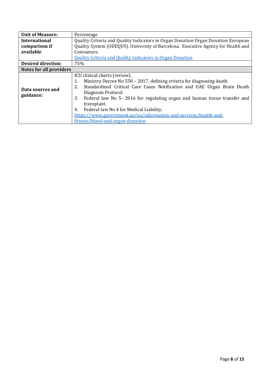| <b>Unit of Measure:</b>        | Percentage                                                                                                                                                                                                                                                                                                                                                                                                                                                                      |  |  |  |
|--------------------------------|---------------------------------------------------------------------------------------------------------------------------------------------------------------------------------------------------------------------------------------------------------------------------------------------------------------------------------------------------------------------------------------------------------------------------------------------------------------------------------|--|--|--|
| <b>International</b>           | Quality Criteria and Quality Indicators in Organ Donation Organ Donation European                                                                                                                                                                                                                                                                                                                                                                                               |  |  |  |
| comparison if                  | Quality System (ODEQUS). University of Barcelona. Executive Agency for Health and                                                                                                                                                                                                                                                                                                                                                                                               |  |  |  |
| available                      | Consumers.                                                                                                                                                                                                                                                                                                                                                                                                                                                                      |  |  |  |
|                                | <b>Quality Criteria and Quality Indicators in Organ Donation</b>                                                                                                                                                                                                                                                                                                                                                                                                                |  |  |  |
| <b>Desired direction:</b>      | 75%                                                                                                                                                                                                                                                                                                                                                                                                                                                                             |  |  |  |
| <b>Notes for all providers</b> |                                                                                                                                                                                                                                                                                                                                                                                                                                                                                 |  |  |  |
| Data sources and<br>guidance:  | ICU clinical charts (review).<br>Ministry Decree No 550 - 2017, defining criteria for diagnosing death.<br>1.<br>2.<br>Standardized Critical Care Cases Notification and UAE Organ Brain Death<br>Diagnosis Protocol<br>Federal law No 5-2016 for regulating organ and human tissue transfer and<br>3.<br>transplant.<br>Federal law No 4 for Medical Liability.<br>4.<br>https://www.government.ae/en/information-and-services/health-and-<br>fitness/blood-and-organ-donation |  |  |  |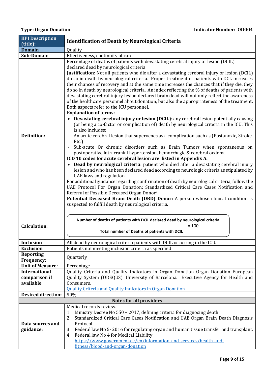<span id="page-8-0"></span>

| <b>KPI</b> Description<br>(title): | <b>Identification of Death by Neurological Criteria</b>                                                                                                                                                                                                                                                                                                                                                                                                                                                                                                                                                                                                                                                                                                                                                                                                                                                                                                                                                                                                                                                                                                                                                                                                                                                                                                                                                                                                                                                                                                                                                                                                                                                                                                                                                                                                                                                                                                  |
|------------------------------------|----------------------------------------------------------------------------------------------------------------------------------------------------------------------------------------------------------------------------------------------------------------------------------------------------------------------------------------------------------------------------------------------------------------------------------------------------------------------------------------------------------------------------------------------------------------------------------------------------------------------------------------------------------------------------------------------------------------------------------------------------------------------------------------------------------------------------------------------------------------------------------------------------------------------------------------------------------------------------------------------------------------------------------------------------------------------------------------------------------------------------------------------------------------------------------------------------------------------------------------------------------------------------------------------------------------------------------------------------------------------------------------------------------------------------------------------------------------------------------------------------------------------------------------------------------------------------------------------------------------------------------------------------------------------------------------------------------------------------------------------------------------------------------------------------------------------------------------------------------------------------------------------------------------------------------------------------------|
| <b>Domain</b>                      | Quality                                                                                                                                                                                                                                                                                                                                                                                                                                                                                                                                                                                                                                                                                                                                                                                                                                                                                                                                                                                                                                                                                                                                                                                                                                                                                                                                                                                                                                                                                                                                                                                                                                                                                                                                                                                                                                                                                                                                                  |
| Sub-Domain                         | Effectiveness, continuity of care                                                                                                                                                                                                                                                                                                                                                                                                                                                                                                                                                                                                                                                                                                                                                                                                                                                                                                                                                                                                                                                                                                                                                                                                                                                                                                                                                                                                                                                                                                                                                                                                                                                                                                                                                                                                                                                                                                                        |
| <b>Definition:</b>                 | Percentage of deaths of patients with devastating cerebral injury or lesion (DCIL)<br>declared dead by neurological criteria.<br>Justification: Not all patients who die after a devastating cerebral injury or lesion (DCIL)<br>do so in death by neurological criteria. Proper treatment of patients with DCL increases<br>their chances of recovery and at the same time increases the chances that if they die, they<br>do so in death by neurological criteria. An index reflecting the % of deaths of patients with<br>devastating cerebral injury lesion declared brain dead will not only reflect the awareness<br>of the healthcare personnel about donation, but also the appropriateness of the treatment.<br>Both aspects refer to the ICU personnel.<br><b>Explanation of terms:</b><br>Devastating cerebral injury or lesion (DCIL): any cerebral lesion potentially causing<br>(or being a co-factor or complication of) death by neurological criteria in the ICU. This<br>is also includes:<br>An acute cerebral lesion that supervenes as a complication such as (Postanoxic, Stroke.<br>Etc.)<br>Sub-acute Or chronic disorders such as Brain Tumors when spontaneous on<br>postoperative intracranial hypertension, hemorrhagic & cerebral oedema.<br>ICD 10 codes for acute cerebral lesion are listed in Appendix A.<br>• Dead by neurological criteria: patient who died after a devastating cerebral injury<br>lesion and who has been declared dead according to neurologic criteria as stipulated by<br>UAE laws and regulation.<br>For additional guidance regarding confirmation of death by neurological criteria, follow the<br>UAE Protocol For Organ Donation: Standardized Critical Care Cases Notification and<br>Referral of Possible Deceased Organ Donor <sup>2</sup> .<br>Potential Deceased Brain Death (DBD) Donor: A person whose clinical condition is<br>suspected to fulfill death by neurological criteria. |
| <b>Calculation:</b>                | Number of deaths of patients with DCIL declared dead by neurological criteria<br>Total number of Deaths of patients with DCIL                                                                                                                                                                                                                                                                                                                                                                                                                                                                                                                                                                                                                                                                                                                                                                                                                                                                                                                                                                                                                                                                                                                                                                                                                                                                                                                                                                                                                                                                                                                                                                                                                                                                                                                                                                                                                            |
| Inclusion                          | All dead by neurological criteria patients with DCIL occurring in the ICU.                                                                                                                                                                                                                                                                                                                                                                                                                                                                                                                                                                                                                                                                                                                                                                                                                                                                                                                                                                                                                                                                                                                                                                                                                                                                                                                                                                                                                                                                                                                                                                                                                                                                                                                                                                                                                                                                               |
| <b>Exclusion</b>                   | Patients not meeting inclusion criteria as specified                                                                                                                                                                                                                                                                                                                                                                                                                                                                                                                                                                                                                                                                                                                                                                                                                                                                                                                                                                                                                                                                                                                                                                                                                                                                                                                                                                                                                                                                                                                                                                                                                                                                                                                                                                                                                                                                                                     |
| <b>Reporting</b><br>Frequency:     | Quarterly                                                                                                                                                                                                                                                                                                                                                                                                                                                                                                                                                                                                                                                                                                                                                                                                                                                                                                                                                                                                                                                                                                                                                                                                                                                                                                                                                                                                                                                                                                                                                                                                                                                                                                                                                                                                                                                                                                                                                |
| <b>Unit of Measure:</b>            | Percentage                                                                                                                                                                                                                                                                                                                                                                                                                                                                                                                                                                                                                                                                                                                                                                                                                                                                                                                                                                                                                                                                                                                                                                                                                                                                                                                                                                                                                                                                                                                                                                                                                                                                                                                                                                                                                                                                                                                                               |
| <b>International</b>               | Quality Criteria and Quality Indicators in Organ Donation Organ Donation European                                                                                                                                                                                                                                                                                                                                                                                                                                                                                                                                                                                                                                                                                                                                                                                                                                                                                                                                                                                                                                                                                                                                                                                                                                                                                                                                                                                                                                                                                                                                                                                                                                                                                                                                                                                                                                                                        |
| comparison if                      | Quality System (ODEQUS). University of Barcelona. Executive Agency for Health and                                                                                                                                                                                                                                                                                                                                                                                                                                                                                                                                                                                                                                                                                                                                                                                                                                                                                                                                                                                                                                                                                                                                                                                                                                                                                                                                                                                                                                                                                                                                                                                                                                                                                                                                                                                                                                                                        |
| available                          | Consumers.                                                                                                                                                                                                                                                                                                                                                                                                                                                                                                                                                                                                                                                                                                                                                                                                                                                                                                                                                                                                                                                                                                                                                                                                                                                                                                                                                                                                                                                                                                                                                                                                                                                                                                                                                                                                                                                                                                                                               |
|                                    | <b>Quality Criteria and Quality Indicators in Organ Donation</b>                                                                                                                                                                                                                                                                                                                                                                                                                                                                                                                                                                                                                                                                                                                                                                                                                                                                                                                                                                                                                                                                                                                                                                                                                                                                                                                                                                                                                                                                                                                                                                                                                                                                                                                                                                                                                                                                                         |
| <b>Desired direction:</b>          | 50%                                                                                                                                                                                                                                                                                                                                                                                                                                                                                                                                                                                                                                                                                                                                                                                                                                                                                                                                                                                                                                                                                                                                                                                                                                                                                                                                                                                                                                                                                                                                                                                                                                                                                                                                                                                                                                                                                                                                                      |
|                                    | <b>Notes for all providers</b>                                                                                                                                                                                                                                                                                                                                                                                                                                                                                                                                                                                                                                                                                                                                                                                                                                                                                                                                                                                                                                                                                                                                                                                                                                                                                                                                                                                                                                                                                                                                                                                                                                                                                                                                                                                                                                                                                                                           |
| Data sources and<br>guidance:      | Medical records review.<br>Ministry Decree No 550 - 2017, defining criteria for diagnosing death.<br>1.<br>Standardized Critical Care Cases Notification and UAE Organ Brain Death Diagnosis<br>2.<br>Protocol<br>3. Federal law No 5-2016 for regulating organ and human tissue transfer and transplant.<br>4. Federal law No 4 for Medical Liability.<br>https://www.government.ae/en/information-and-services/health-and-                                                                                                                                                                                                                                                                                                                                                                                                                                                                                                                                                                                                                                                                                                                                                                                                                                                                                                                                                                                                                                                                                                                                                                                                                                                                                                                                                                                                                                                                                                                             |
|                                    | fitness/blood-and-organ-donation                                                                                                                                                                                                                                                                                                                                                                                                                                                                                                                                                                                                                                                                                                                                                                                                                                                                                                                                                                                                                                                                                                                                                                                                                                                                                                                                                                                                                                                                                                                                                                                                                                                                                                                                                                                                                                                                                                                         |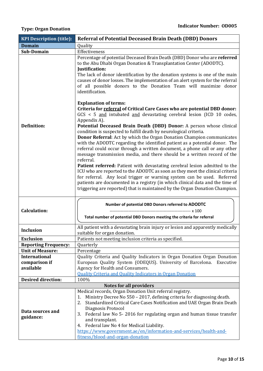<span id="page-9-0"></span>

| <b>KPI Description (title):</b> | <b>Referral of Potential Deceased Brain Death (DBD) Donors</b>                                                                                                                                                                                                                                                                                                                                                                                                                                                                                                                                                                                                                      |  |  |
|---------------------------------|-------------------------------------------------------------------------------------------------------------------------------------------------------------------------------------------------------------------------------------------------------------------------------------------------------------------------------------------------------------------------------------------------------------------------------------------------------------------------------------------------------------------------------------------------------------------------------------------------------------------------------------------------------------------------------------|--|--|
| <b>Domain</b>                   | Quality                                                                                                                                                                                                                                                                                                                                                                                                                                                                                                                                                                                                                                                                             |  |  |
| Sub-Domain                      | Effectiveness                                                                                                                                                                                                                                                                                                                                                                                                                                                                                                                                                                                                                                                                       |  |  |
|                                 | Percentage of potential Deceased Brain Death (DBD) Donor who are referred<br>to the Abu Dhabi Organ Donation & Transplantation Center (ADODTC).<br>Justification:<br>The lack of donor identification by the donation systems is one of the main<br>causes of donor losses. The implementation of an alert system for the referral<br>of all possible donors to the Donation Team will maximize donor<br>identification.                                                                                                                                                                                                                                                            |  |  |
| <b>Definition:</b>              | <b>Explanation of terms:</b><br>Criteria for referral of Critical Care Cases who are potential DBD donor:<br>$GCS < 5$ and intubated and devastating cerebral lesion (ICD 10 codes,<br>Appendix A).<br>Potential Deceased Brain Death (DBD) Donor: A person whose clinical<br>condition is suspected to fulfill death by neurological criteria.<br><b>Donor Referral:</b> Act by which the Organ Donation Champion communicates<br>with the ADODTC regarding the identified patient as a potential donor. The<br>referral could occur through a written document, a phone call or any other<br>message transmission media, and there should be a written record of the<br>referral. |  |  |
|                                 | Patient referred: Patient with devastating cerebral lesion admitted to the<br>ICU who are reported to the ADODTC as soon as they meet the clinical criteria<br>for referral. Any local trigger or warning system can be used. Referred<br>patients are documented in a registry (in which clinical data and the time of<br>triggering are reported) that is maintained by the Organ Donation Champion.                                                                                                                                                                                                                                                                              |  |  |
| <b>Calculation:</b>             | Number of potential DBD Donors referred to ADODTC<br>Total number of potential DBD Donors meeting the criteria for referral                                                                                                                                                                                                                                                                                                                                                                                                                                                                                                                                                         |  |  |
| Inclusion                       | All patient with a devastating brain injury or lesion and apparently medically<br>suitable for organ donation.                                                                                                                                                                                                                                                                                                                                                                                                                                                                                                                                                                      |  |  |
| <b>Exclusion</b>                | Patients not meeting inclusion criteria as specified.                                                                                                                                                                                                                                                                                                                                                                                                                                                                                                                                                                                                                               |  |  |
| <b>Reporting Frequency:</b>     | Quarterly                                                                                                                                                                                                                                                                                                                                                                                                                                                                                                                                                                                                                                                                           |  |  |
| <b>Unit of Measure:</b>         | Percentage                                                                                                                                                                                                                                                                                                                                                                                                                                                                                                                                                                                                                                                                          |  |  |
| <b>International</b>            | Quality Criteria and Quality Indicators in Organ Donation Organ Donation                                                                                                                                                                                                                                                                                                                                                                                                                                                                                                                                                                                                            |  |  |
| comparison if<br>available      | European Quality System (ODEQUS). University of Barcelona. Executive<br>Agency for Health and Consumers.                                                                                                                                                                                                                                                                                                                                                                                                                                                                                                                                                                            |  |  |
|                                 | <b>Quality Criteria and Quality Indicators in Organ Donation</b>                                                                                                                                                                                                                                                                                                                                                                                                                                                                                                                                                                                                                    |  |  |
| <b>Desired direction:</b>       | 100%                                                                                                                                                                                                                                                                                                                                                                                                                                                                                                                                                                                                                                                                                |  |  |
| <b>Notes for all providers</b>  |                                                                                                                                                                                                                                                                                                                                                                                                                                                                                                                                                                                                                                                                                     |  |  |
| Data sources and<br>guidance:   | Medical records, Organ Donation Unit referral registry.<br>Ministry Decree No 550 - 2017, defining criteria for diagnosing death.<br>1.<br>Standardized Critical Care Cases Notification and UAE Organ Brain Death<br>2.<br>Diagnosis Protocol<br>Federal law No 5-2016 for regulating organ and human tissue transfer<br>3.<br>and transplant.<br>4. Federal law No 4 for Medical Liability.                                                                                                                                                                                                                                                                                       |  |  |
|                                 | https://www.government.ae/en/information-and-services/health-and-<br>fitness/blood-and-organ-donation                                                                                                                                                                                                                                                                                                                                                                                                                                                                                                                                                                               |  |  |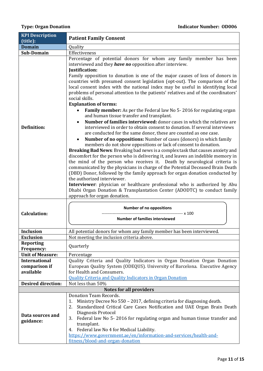<span id="page-10-0"></span>

| <b>KPI Description</b><br>(title): | <b>Patient Family Consent</b>                                                                                                                                                                                                                                                                                                                                                                                                                                                                                                                                                                                                                                                                                                                                                                                                                                                                                                                                                                                                                                                                                                                                                                                                                                                                                                                                                                                                                                                                                                                                                                                                                                           |  |  |  |
|------------------------------------|-------------------------------------------------------------------------------------------------------------------------------------------------------------------------------------------------------------------------------------------------------------------------------------------------------------------------------------------------------------------------------------------------------------------------------------------------------------------------------------------------------------------------------------------------------------------------------------------------------------------------------------------------------------------------------------------------------------------------------------------------------------------------------------------------------------------------------------------------------------------------------------------------------------------------------------------------------------------------------------------------------------------------------------------------------------------------------------------------------------------------------------------------------------------------------------------------------------------------------------------------------------------------------------------------------------------------------------------------------------------------------------------------------------------------------------------------------------------------------------------------------------------------------------------------------------------------------------------------------------------------------------------------------------------------|--|--|--|
| <b>Domain</b>                      | Quality                                                                                                                                                                                                                                                                                                                                                                                                                                                                                                                                                                                                                                                                                                                                                                                                                                                                                                                                                                                                                                                                                                                                                                                                                                                                                                                                                                                                                                                                                                                                                                                                                                                                 |  |  |  |
| Sub-Domain                         | Effectiveness                                                                                                                                                                                                                                                                                                                                                                                                                                                                                                                                                                                                                                                                                                                                                                                                                                                                                                                                                                                                                                                                                                                                                                                                                                                                                                                                                                                                                                                                                                                                                                                                                                                           |  |  |  |
| <b>Definition:</b>                 | Percentage of potential donors for whom any family member has been<br>interviewed and they have no opposition after interview.<br>Justification:<br>Family opposition to donation is one of the major causes of loss of donors in<br>countries with presumed consent legislation (opt-out). The comparison of the<br>local consent index with the national index may be useful in identifying local<br>problems of personal attention to the patients' relatives and of the coordinators'<br>social skills.<br><b>Explanation of terms:</b><br>Family member: As per the Federal law No 5-2016 for regulating organ<br>and human tissue transfer and transplant.<br>Number of families interviewed: donor cases in which the relatives are<br>interviewed in order to obtain consent to donation. If several interviews<br>are conducted for the same donor, these are counted as one case.<br><b>Number of no oppositions:</b> Number of cases (donors) in which family<br>$\bullet$<br>members do not show oppositions or lack of consent to donation.<br>Breaking Bad News: Breaking bad news is a complex task that causes anxiety and<br>discomfort for the person who is delivering it, and leaves an indelible memory in<br>the mind of the person who receives it. Death by neurological criteria is<br>communicated by the physicians in charge of the Potential Deceased Brain Death<br>(DBD) Donor, followed by the family approach for organ donation conducted by<br>the authorized interviewer.<br>Interviewer: physician or healthcare professional who is authorized by Abu<br>Dhabi Organ Donation & Transplantation Center (ADODTC) to conduct family |  |  |  |
| <b>Calculation:</b>                | approach for organ donation.<br><b>Number of no oppositions</b><br><b>Number of families interviewed</b>                                                                                                                                                                                                                                                                                                                                                                                                                                                                                                                                                                                                                                                                                                                                                                                                                                                                                                                                                                                                                                                                                                                                                                                                                                                                                                                                                                                                                                                                                                                                                                |  |  |  |
| <b>Inclusion</b>                   | All potential donors for whom any family member has been interviewed.                                                                                                                                                                                                                                                                                                                                                                                                                                                                                                                                                                                                                                                                                                                                                                                                                                                                                                                                                                                                                                                                                                                                                                                                                                                                                                                                                                                                                                                                                                                                                                                                   |  |  |  |
| <b>Exclusion</b>                   | Not meeting the inclusion criteria above.                                                                                                                                                                                                                                                                                                                                                                                                                                                                                                                                                                                                                                                                                                                                                                                                                                                                                                                                                                                                                                                                                                                                                                                                                                                                                                                                                                                                                                                                                                                                                                                                                               |  |  |  |
| <b>Reporting</b><br>Frequency:     | Quarterly                                                                                                                                                                                                                                                                                                                                                                                                                                                                                                                                                                                                                                                                                                                                                                                                                                                                                                                                                                                                                                                                                                                                                                                                                                                                                                                                                                                                                                                                                                                                                                                                                                                               |  |  |  |
| <b>Unit of Measure:</b>            | Percentage                                                                                                                                                                                                                                                                                                                                                                                                                                                                                                                                                                                                                                                                                                                                                                                                                                                                                                                                                                                                                                                                                                                                                                                                                                                                                                                                                                                                                                                                                                                                                                                                                                                              |  |  |  |
| <b>International</b>               | Quality Criteria and Quality Indicators in Organ Donation Organ Donation                                                                                                                                                                                                                                                                                                                                                                                                                                                                                                                                                                                                                                                                                                                                                                                                                                                                                                                                                                                                                                                                                                                                                                                                                                                                                                                                                                                                                                                                                                                                                                                                |  |  |  |
| comparison if                      | European Quality System (ODEQUS). University of Barcelona. Executive Agency                                                                                                                                                                                                                                                                                                                                                                                                                                                                                                                                                                                                                                                                                                                                                                                                                                                                                                                                                                                                                                                                                                                                                                                                                                                                                                                                                                                                                                                                                                                                                                                             |  |  |  |
| available                          | for Health and Consumers.                                                                                                                                                                                                                                                                                                                                                                                                                                                                                                                                                                                                                                                                                                                                                                                                                                                                                                                                                                                                                                                                                                                                                                                                                                                                                                                                                                                                                                                                                                                                                                                                                                               |  |  |  |
|                                    | <b>Quality Criteria and Quality Indicators in Organ Donation</b>                                                                                                                                                                                                                                                                                                                                                                                                                                                                                                                                                                                                                                                                                                                                                                                                                                                                                                                                                                                                                                                                                                                                                                                                                                                                                                                                                                                                                                                                                                                                                                                                        |  |  |  |
| <b>Desired direction:</b>          | Not less than 50%                                                                                                                                                                                                                                                                                                                                                                                                                                                                                                                                                                                                                                                                                                                                                                                                                                                                                                                                                                                                                                                                                                                                                                                                                                                                                                                                                                                                                                                                                                                                                                                                                                                       |  |  |  |
|                                    | <b>Notes for all providers</b>                                                                                                                                                                                                                                                                                                                                                                                                                                                                                                                                                                                                                                                                                                                                                                                                                                                                                                                                                                                                                                                                                                                                                                                                                                                                                                                                                                                                                                                                                                                                                                                                                                          |  |  |  |
| Data sources and<br>guidance:      | <b>Donation Team Records.</b><br>Ministry Decree No 550 - 2017, defining criteria for diagnosing death.<br>1.<br>Standardized Critical Care Cases Notification and UAE Organ Brain Death<br>2.<br>Diagnosis Protocol<br>Federal law No 5-2016 for regulating organ and human tissue transfer and<br>3.<br>transplant.<br>4. Federal law No 4 for Medical Liability.<br>https://www.government.ae/en/information-and-services/health-and-<br>fitness/blood-and-organ-donation                                                                                                                                                                                                                                                                                                                                                                                                                                                                                                                                                                                                                                                                                                                                                                                                                                                                                                                                                                                                                                                                                                                                                                                            |  |  |  |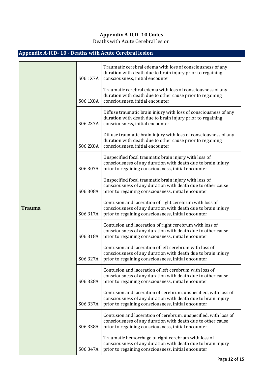### **Appendix A-ICD- 10 Codes**

Deaths with Acute Cerebral lesion

## <span id="page-11-0"></span>**Appendix A-ICD- 10 - Deaths with Acute Cerebral lesion**

|               | S06.1X7A | Traumatic cerebral edema with loss of consciousness of any<br>duration with death due to brain injury prior to regaining<br>consciousness, initial encounter                           |
|---------------|----------|----------------------------------------------------------------------------------------------------------------------------------------------------------------------------------------|
|               | S06.1X8A | Traumatic cerebral edema with loss of consciousness of any<br>duration with death due to other cause prior to regaining<br>consciousness, initial encounter                            |
|               | S06.2X7A | Diffuse traumatic brain injury with loss of consciousness of any<br>duration with death due to brain injury prior to regaining<br>consciousness, initial encounter                     |
|               | S06.2X8A | Diffuse traumatic brain injury with loss of consciousness of any<br>duration with death due to other cause prior to regaining<br>consciousness, initial encounter                      |
|               | S06.307A | Unspecified focal traumatic brain injury with loss of<br>consciousness of any duration with death due to brain injury<br>prior to regaining consciousness, initial encounter           |
|               | S06.308A | Unspecified focal traumatic brain injury with loss of<br>consciousness of any duration with death due to other cause<br>prior to regaining consciousness, initial encounter            |
| <b>Trauma</b> | S06.317A | Contusion and laceration of right cerebrum with loss of<br>consciousness of any duration with death due to brain injury<br>prior to regaining consciousness, initial encounter         |
|               | S06.318A | Contusion and laceration of right cerebrum with loss of<br>consciousness of any duration with death due to other cause<br>prior to regaining consciousness, initial encounter          |
|               | S06.327A | Contusion and laceration of left cerebrum with loss of<br>consciousness of any duration with death due to brain injury<br>prior to regaining consciousness, initial encounter          |
|               | S06.328A | Contusion and laceration of left cerebrum with loss of<br>consciousness of any duration with death due to other cause<br>prior to regaining consciousness, initial encounter           |
|               | S06.337A | Contusion and laceration of cerebrum, unspecified, with loss of<br>consciousness of any duration with death due to brain injury<br>prior to regaining consciousness, initial encounter |
|               | S06.338A | Contusion and laceration of cerebrum, unspecified, with loss of<br>consciousness of any duration with death due to other cause<br>prior to regaining consciousness, initial encounter  |
|               | S06.347A | Traumatic hemorrhage of right cerebrum with loss of<br>consciousness of any duration with death due to brain injury<br>prior to regaining consciousness, initial encounter             |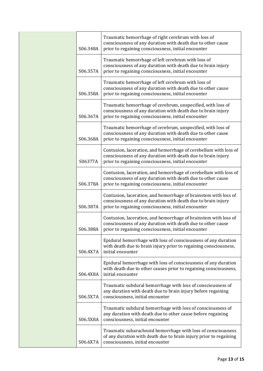| S06.348A | Traumatic hemorrhage of right cerebrum with loss of<br>consciousness of any duration with death due to other cause<br>prior to regaining consciousness, initial encounter               |
|----------|-----------------------------------------------------------------------------------------------------------------------------------------------------------------------------------------|
| S06.357A | Traumatic hemorrhage of left cerebrum with loss of<br>consciousness of any duration with death due to brain injury<br>prior to regaining consciousness, initial encounter               |
| S06.358A | Traumatic hemorrhage of left cerebrum with loss of<br>consciousness of any duration with death due to other cause<br>prior to regaining consciousness, initial encounter                |
| S06.367A | Traumatic hemorrhage of cerebrum, unspecified, with loss of<br>consciousness of any duration with death due to brain injury<br>prior to regaining consciousness, initial encounter      |
| S06.368A | Traumatic hemorrhage of cerebrum, unspecified, with loss of<br>consciousness of any duration with death due to other cause<br>prior to regaining consciousness, initial encounter       |
| S06377A  | Contusion, laceration, and hemorrhage of cerebellum with loss of<br>consciousness of any duration with death due to brain injury<br>prior to regaining consciousness, initial encounter |
| S06.378A | Contusion, laceration, and hemorrhage of cerebellum with loss of<br>consciousness of any duration with death due to other cause<br>prior to regaining consciousness, initial encounter  |
| S06.387A | Contusion, laceration, and hemorrhage of brainstem with loss of<br>consciousness of any duration with death due to brain injury<br>prior to regaining consciousness, initial encounter  |
| S06.388A | Contusion, laceration, and hemorrhage of brainstem with loss of<br>consciousness of any duration with death due to other cause<br>prior to regaining consciousness, initial encounter   |
| S06.4X7A | Epidural hemorrhage with loss of consciousness of any duration<br>with death due to brain injury prior to regaining consciousness,<br>initial encounter                                 |
| S06.4X8A | Epidural hemorrhage with loss of consciousness of any duration<br>with death due to other causes prior to regaining consciousness,<br>initial encounter                                 |
| S06.5X7A | Traumatic subdural hemorrhage with loss of consciousness of<br>any duration with death due to brain injury before regaining<br>consciousness, initial encounter                         |
| S06.5X8A | Traumatic subdural hemorrhage with loss of consciousness of<br>any duration with death due to other cause before regaining<br>consciousness, initial encounter                          |
| S06.6X7A | Traumatic subarachnoid hemorrhage with loss of consciousness<br>of any duration with death due to brain injury prior to regaining<br>consciousness, initial encounter                   |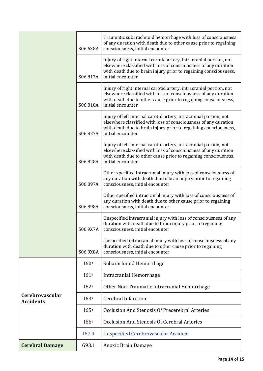|                                     | S06.6X8A | Traumatic subarachnoid hemorrhage with loss of consciousness<br>of any duration with death due to other cause prior to regaining<br>consciousness, initial encounter                                                           |
|-------------------------------------|----------|--------------------------------------------------------------------------------------------------------------------------------------------------------------------------------------------------------------------------------|
|                                     | S06.817A | Injury of right internal carotid artery, intracranial portion, not<br>elsewhere classified with loss of consciousness of any duration<br>with death due to brain injury prior to regaining consciousness,<br>initial encounter |
|                                     | S06.818A | Injury of right internal carotid artery, intracranial portion, not<br>elsewhere classified with loss of consciousness of any duration<br>with death due to other cause prior to regaining consciousness,<br>initial encounter  |
|                                     | S06.827A | Injury of left internal carotid artery, intracranial portion, not<br>elsewhere classified with loss of consciousness of any duration<br>with death due to brain injury prior to regaining consciousness,<br>initial encounter  |
|                                     | S06.828A | Injury of left internal carotid artery, intracranial portion, not<br>elsewhere classified with loss of consciousness of any duration<br>with death due to other cause prior to regaining consciousness,<br>initial encounter   |
|                                     | S06.897A | Other specified intracranial injury with loss of consciousness of<br>any duration with death due to brain injury prior to regaining<br>consciousness, initial encounter                                                        |
|                                     | S06.898A | Other specified intracranial injury with loss of consciousness of<br>any duration with death due to other cause prior to regaining<br>consciousness, initial encounter                                                         |
|                                     | S06.9X7A | Unspecified intracranial injury with loss of consciousness of any<br>duration with death due to brain injury prior to regaining<br>consciousness, initial encounter                                                            |
|                                     | S06.9X8A | Unspecified intracranial injury with loss of consciousness of any<br>duration with death due to other cause prior to regaining<br>consciousness, initial encounter                                                             |
|                                     | $I60*$   | Subarachnoid Hemorrhage                                                                                                                                                                                                        |
|                                     | $I61*$   | Intracranial Hemorrhage                                                                                                                                                                                                        |
| Cerebrovascular<br><b>Accidents</b> | $I62*$   | Other Non-Traumatic Intracranial Hemorrhage                                                                                                                                                                                    |
|                                     | I63#     | <b>Cerebral Infarction</b>                                                                                                                                                                                                     |
|                                     | I65#     | Occlusion And Stenosis Of Precerebral Arteries                                                                                                                                                                                 |
|                                     | 166#     | Occlusion And Stenosis Of Cerebral Arteries                                                                                                                                                                                    |
|                                     | I67.9    | <b>Unspecified Cerebrovascular Accident</b>                                                                                                                                                                                    |
| <b>Cerebral Damage</b>              | G93.1    | <b>Anoxic Brain Damage</b>                                                                                                                                                                                                     |